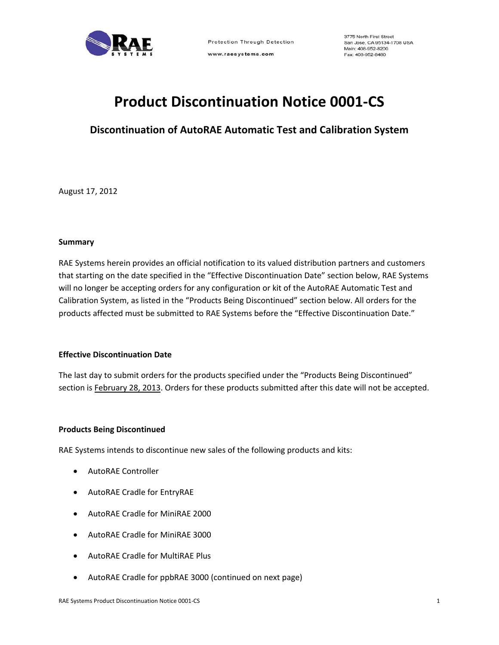

www.raesystems.com

# **Product Discontinuation Notice 0001‐CS**

**Discontinuation of AutoRAE Automatic Test and Calibration System**

August 17, 2012

## **Summary**

RAE Systems herein provides an official notification to its valued distribution partners and customers that starting on the date specified in the "Effective Discontinuation Date" section below, RAE Systems will no longer be accepting orders for any configuration or kit of the AutoRAE Automatic Test and Calibration System, as listed in the "Products Being Discontinued" section below. All orders for the products affected must be submitted to RAE Systems before the "Effective Discontinuation Date."

## **Effective Discontinuation Date**

The last day to submit orders for the products specified under the "Products Being Discontinued" section is February 28, 2013. Orders for these products submitted after this date will not be accepted.

## **Products Being Discontinued**

RAE Systems intends to discontinue new sales of the following products and kits:

- AutoRAE Controller
- AutoRAE Cradle for EntryRAE
- AutoRAE Cradle for MiniRAE 2000
- AutoRAE Cradle for MiniRAE 3000
- AutoRAE Cradle for MultiRAE Plus
- AutoRAE Cradle for ppbRAE 3000 (continued on next page)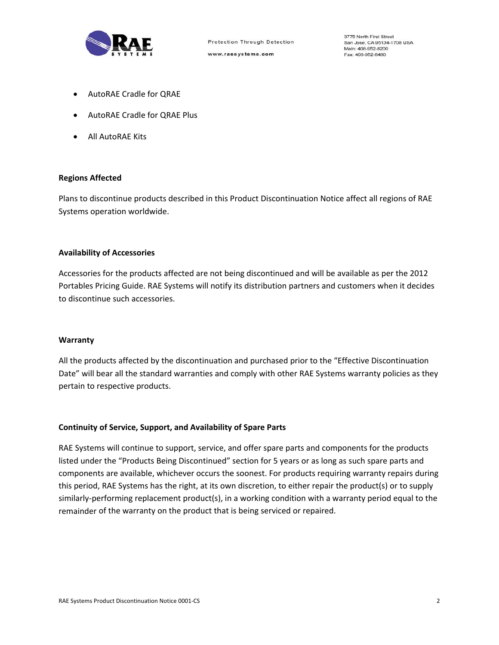

- AutoRAE Cradle for QRAE
- AutoRAE Cradle for QRAE Plus
- All AutoRAE Kits

#### **Regions Affected**

Plans to discontinue products described in this Product Discontinuation Notice affect all regions of RAE Systems operation worldwide.

### **Availability of Accessories**

Accessories for the products affected are not being discontinued and will be available as per the 2012 Portables Pricing Guide. RAE Systems will notify its distribution partners and customers when it decides to discontinue such accessories.

#### **Warranty**

All the products affected by the discontinuation and purchased prior to the "Effective Discontinuation Date" will bear all the standard warranties and comply with other RAE Systems warranty policies as they pertain to respective products.

### **Continuity of Service, Support, and Availability of Spare Parts**

RAE Systems will continue to support, service, and offer spare parts and components for the products listed under the "Products Being Discontinued" section for 5 years or as long as such spare parts and components are available, whichever occurs the soonest. For products requiring warranty repairs during this period, RAE Systems has the right, at its own discretion, to either repair the product(s) or to supply similarly‐performing replacement product(s), in a working condition with a warranty period equal to the remainder of the warranty on the product that is being serviced or repaired.